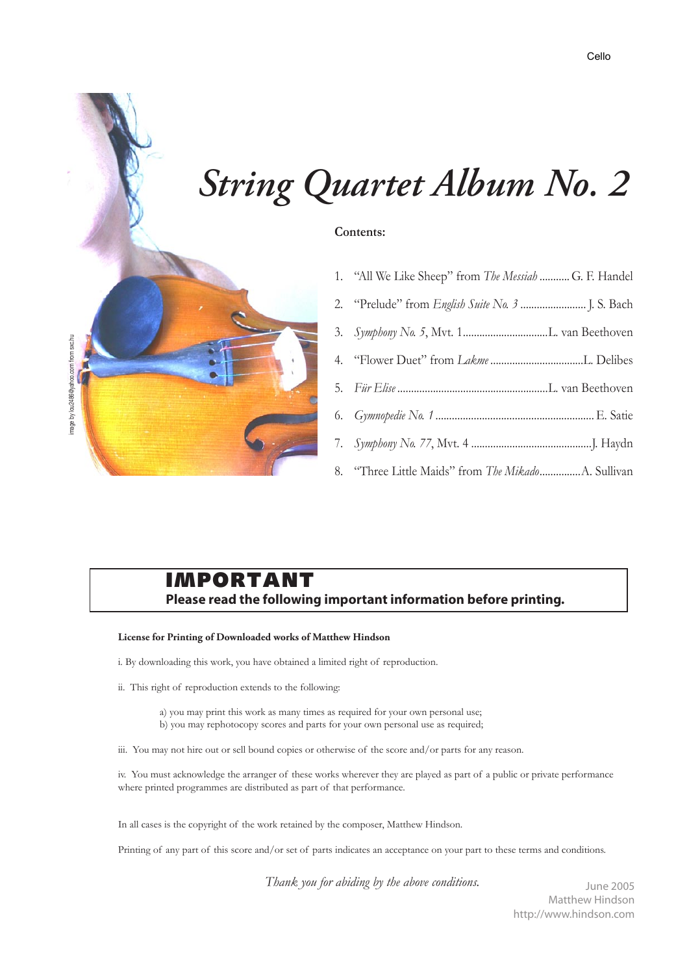# *String Quartet Album No. 2*



- 1. "All We Like Sheep" from *The Messiah* ...........G. F. Handel
- 2. "Prelude" from *English Suite No. 3* ........................ J. S. Bach
- 3. *Symphony No. 5*, Mvt. 1 ...............................L. van Beethoven
- 4. "Flower Duet" from *Lakme* ..................................L. Delibes
- 
- 5. *Für Elise* .......................................................L. van Beethoven
- 6. *Gymnopedie No. 1 ..........................................................*E. Satie
- 7. *Symphony No. 77*, Mvt. 4 ............................................J. Haydn
- 8. "Three Little Maids" from *The Mikado* ...............A. Sullivan

#### IMPORTANT **Please read the following important information before printing.**

#### **License for Printing of Downloaded works of Matthew Hindson**

i. By downloading this work, you have obtained a limited right of reproduction.

ii. This right of reproduction extends to the following:

image by lou2486@yahoo.com from sxc.hu

mage by lou2486@yahoo.com from sxc.hu

- a) you may print this work as many times as required for your own personal use;
- b) you may rephotocopy scores and parts for your own personal use as required;
- iii. You may not hire out or sell bound copies or otherwise of the score and/or parts for any reason.

iv. You must acknowledge the arranger of these works wherever they are played as part of a public or private performance where printed programmes are distributed as part of that performance.

In all cases is the copyright of the work retained by the composer, Matthew Hindson.

Printing of any part of this score and/or set of parts indicates an acceptance on your part to these terms and conditions.

*Thank you for abiding by the above conditions.*

June 2005 Matthew Hindson http://www.hindson.com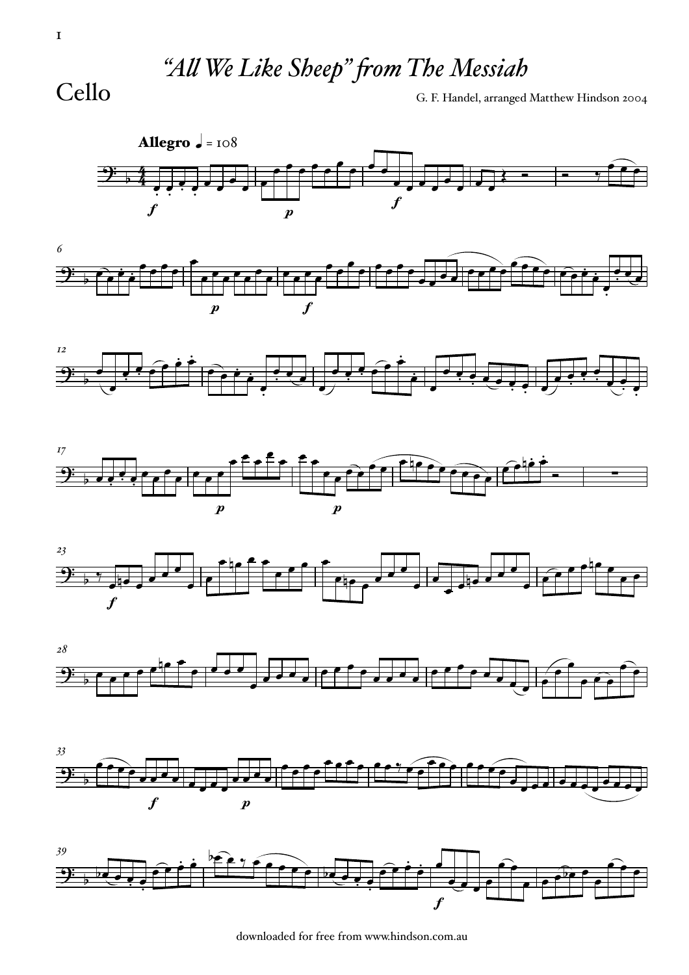Cello G. F. Handel, arranged Matthew Hindson 2004















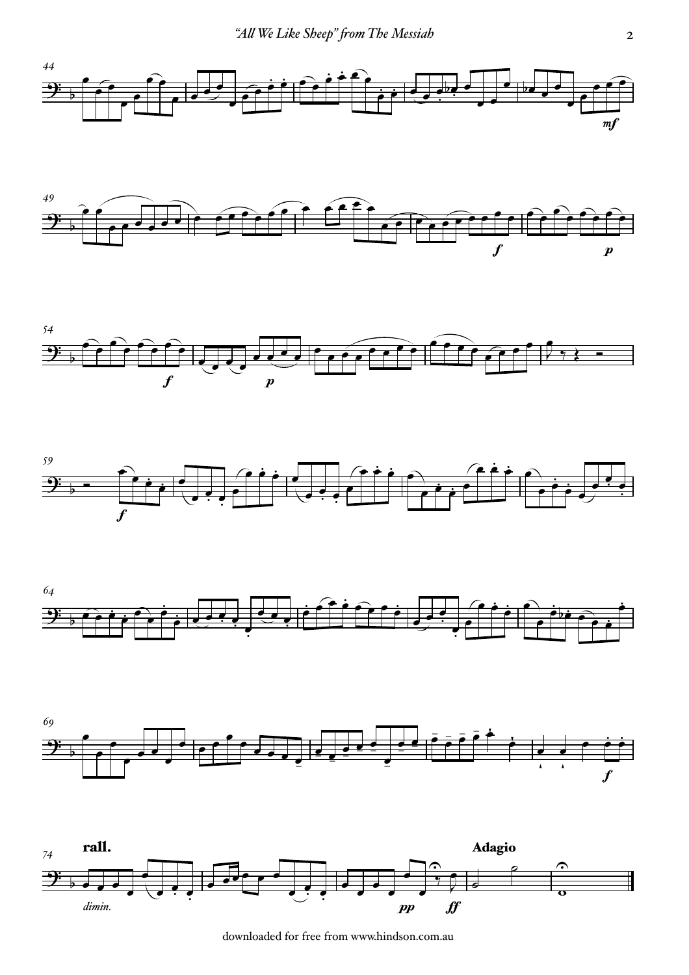













downloaded for free from www.hindson.com.au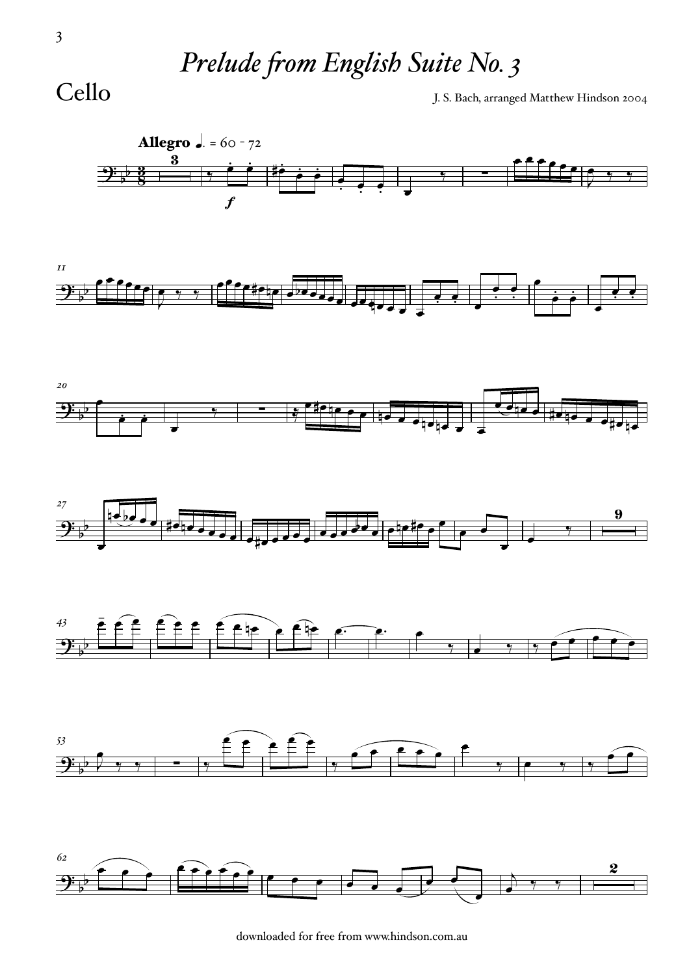Cello J. S. Bach, arranged Matthew Hindson 2004













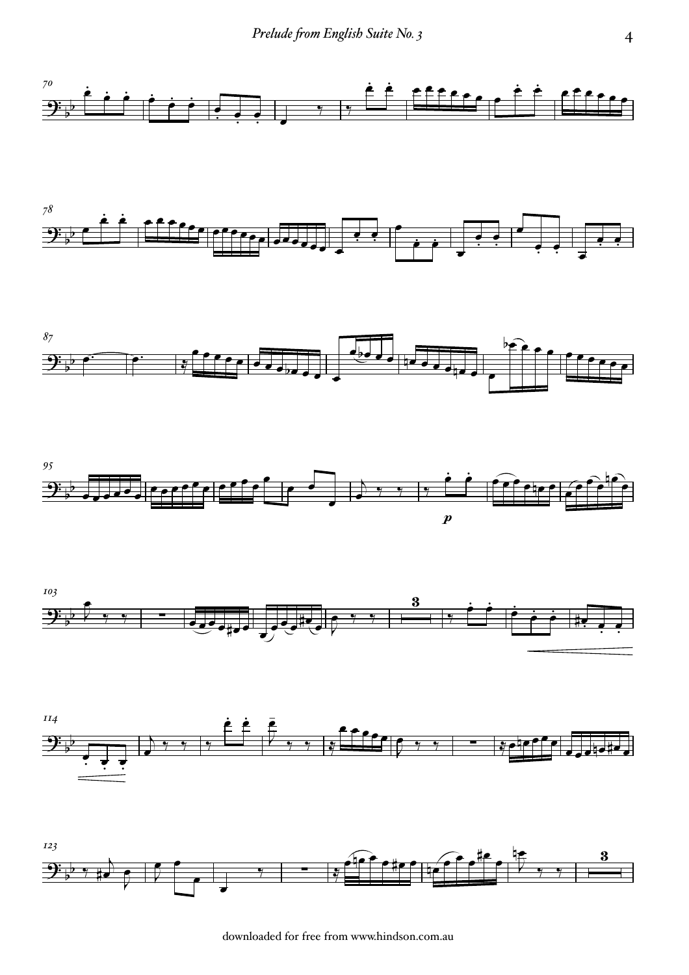

downloaded for free from www.hindson.com.au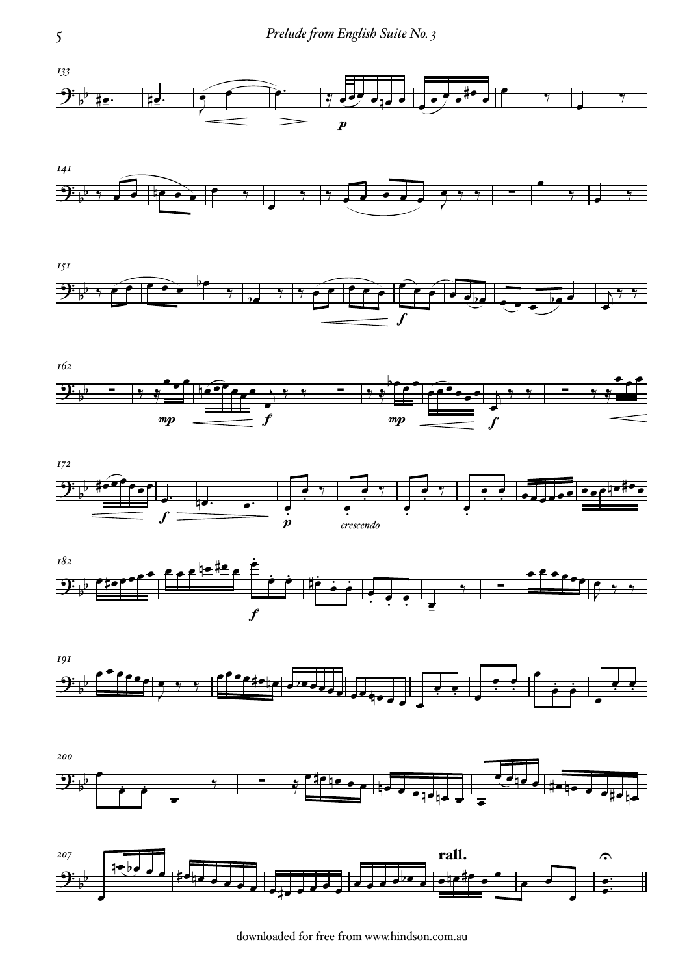

















downloaded for free from www.hindson.com.au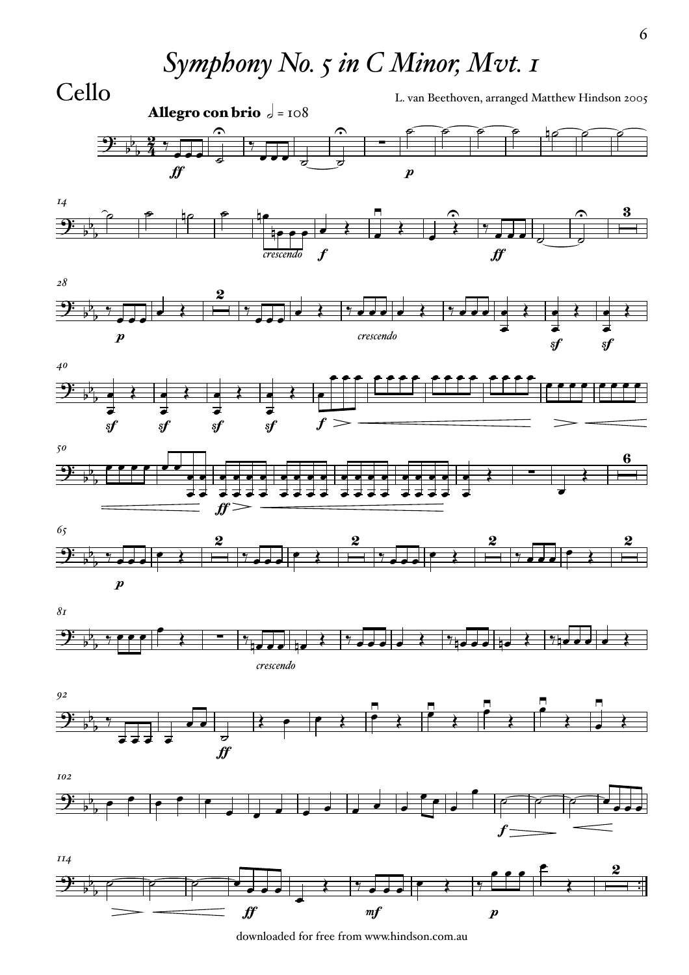*Symphony No. 5 in C Minor, Mvt. 1*



downloaded for free from www.hindson.com.au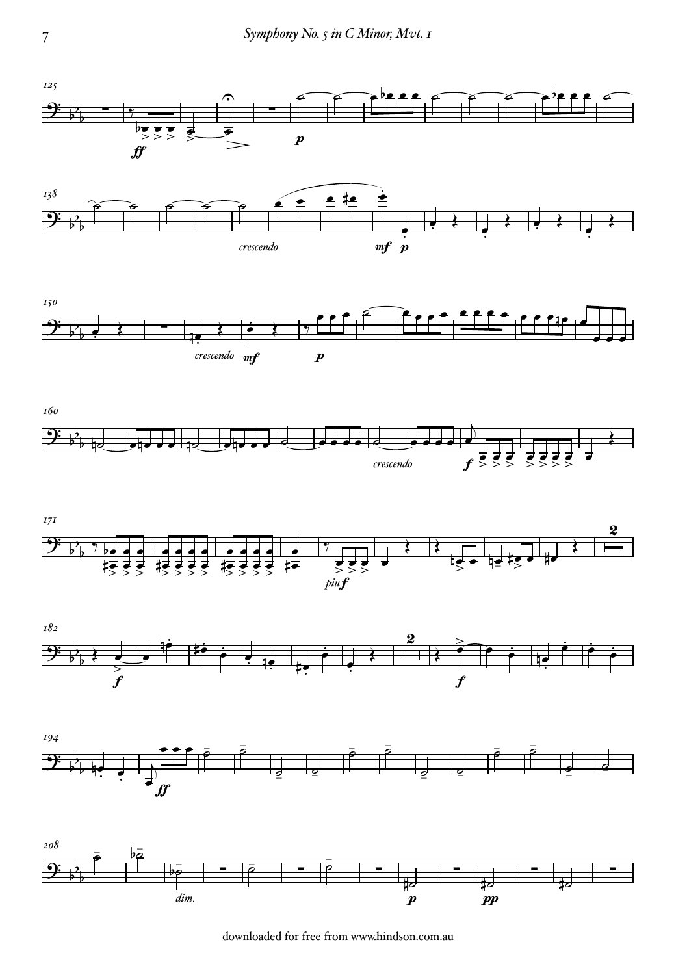

downloaded for free from www.hindson.com.au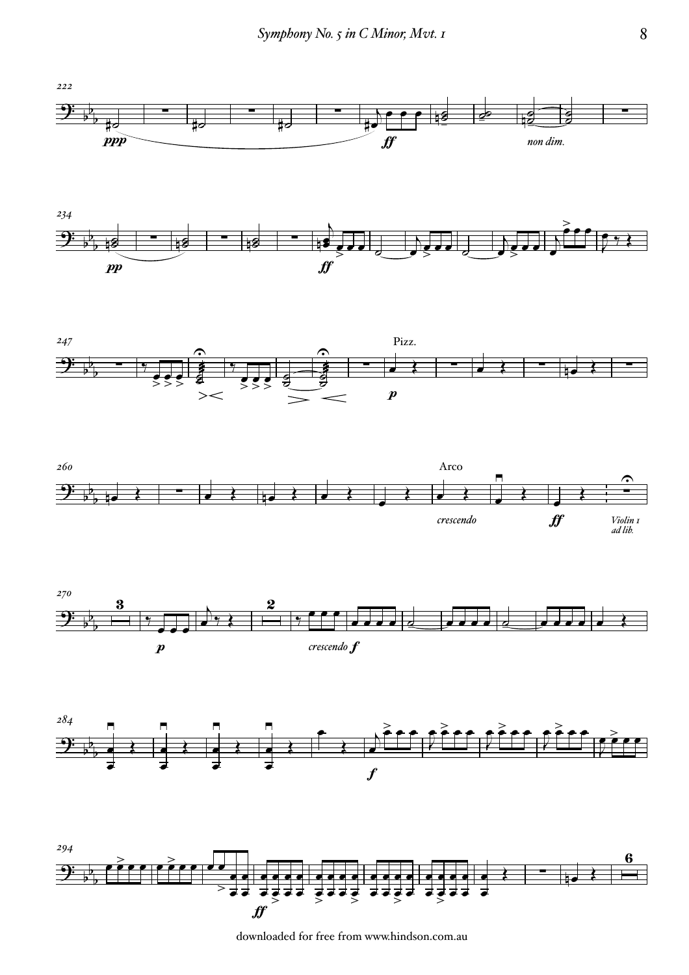











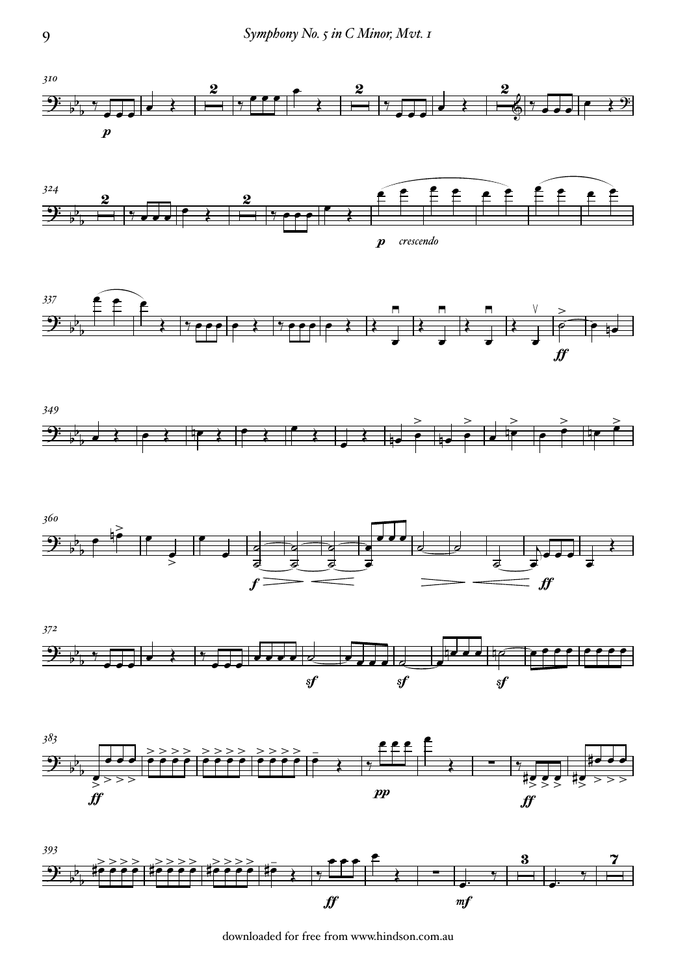















downloaded for free from www.hindson.com.au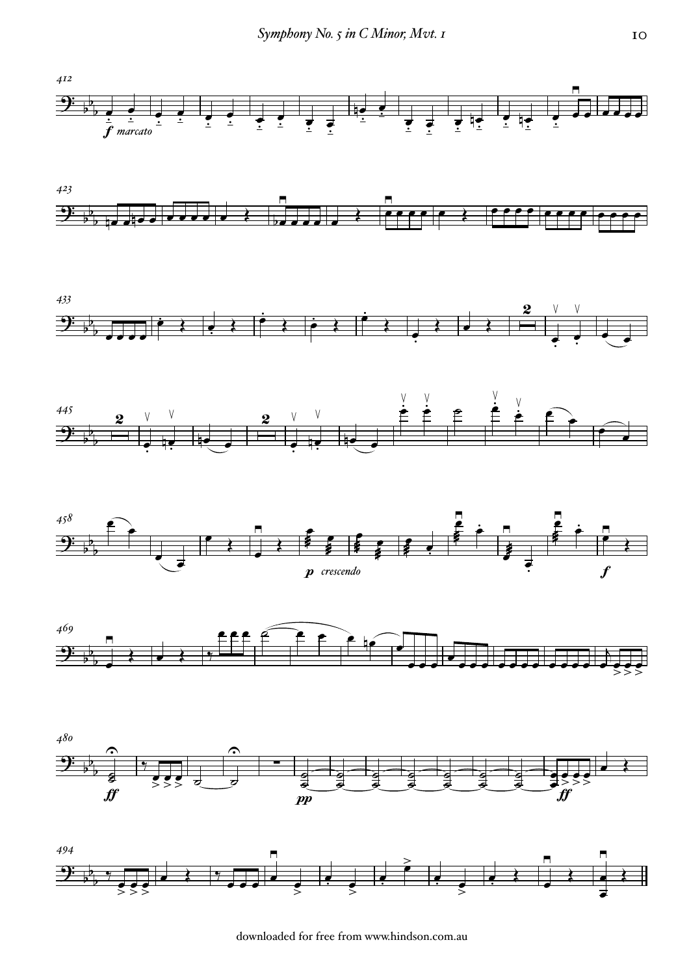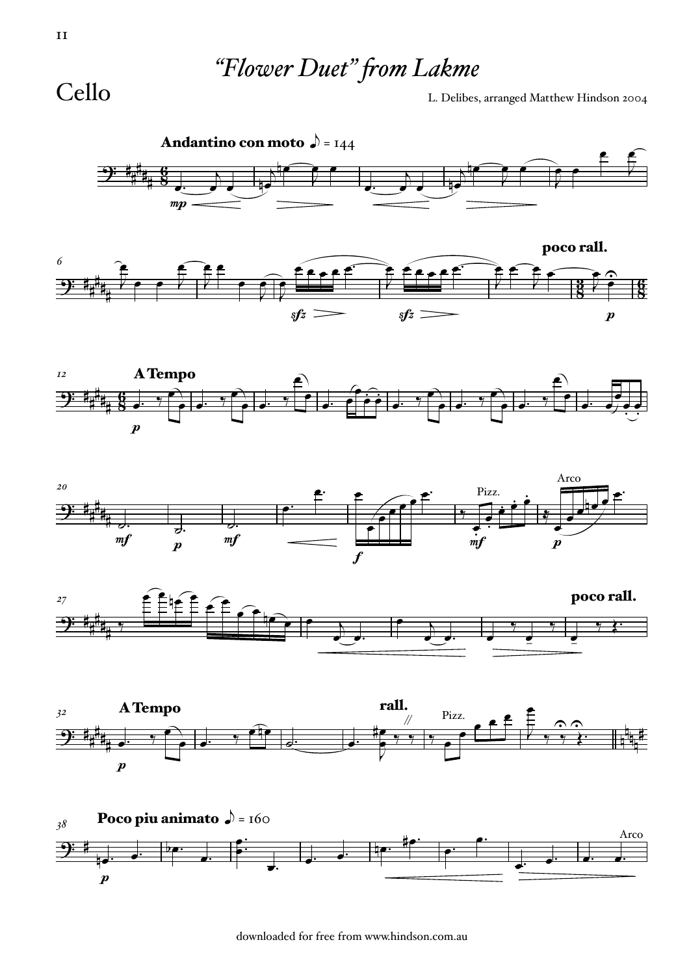Cello L. Delibes, arranged Matthew Hindson 2004













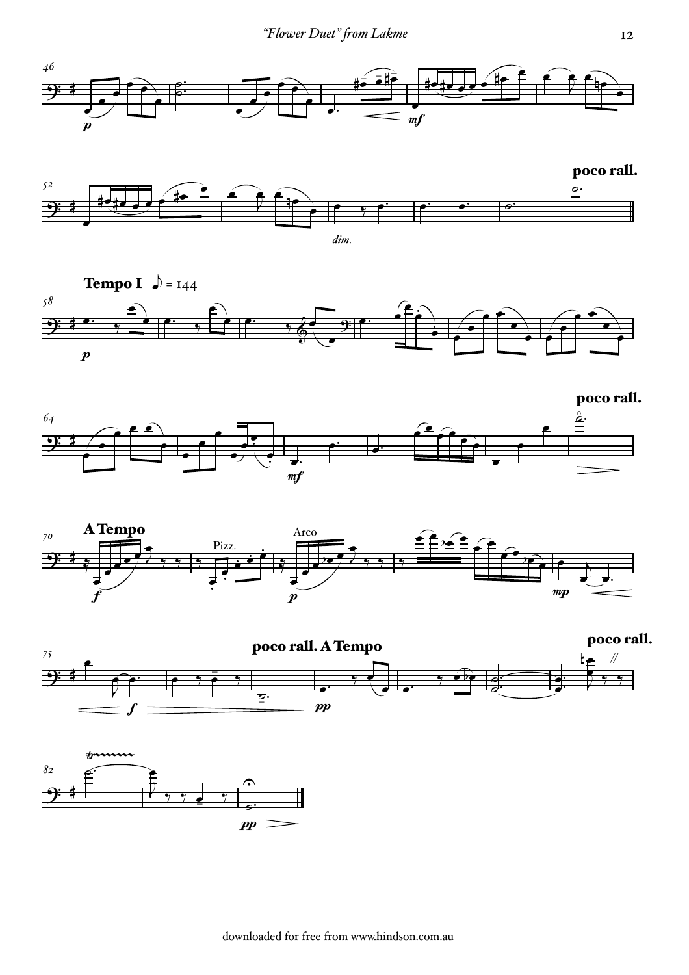











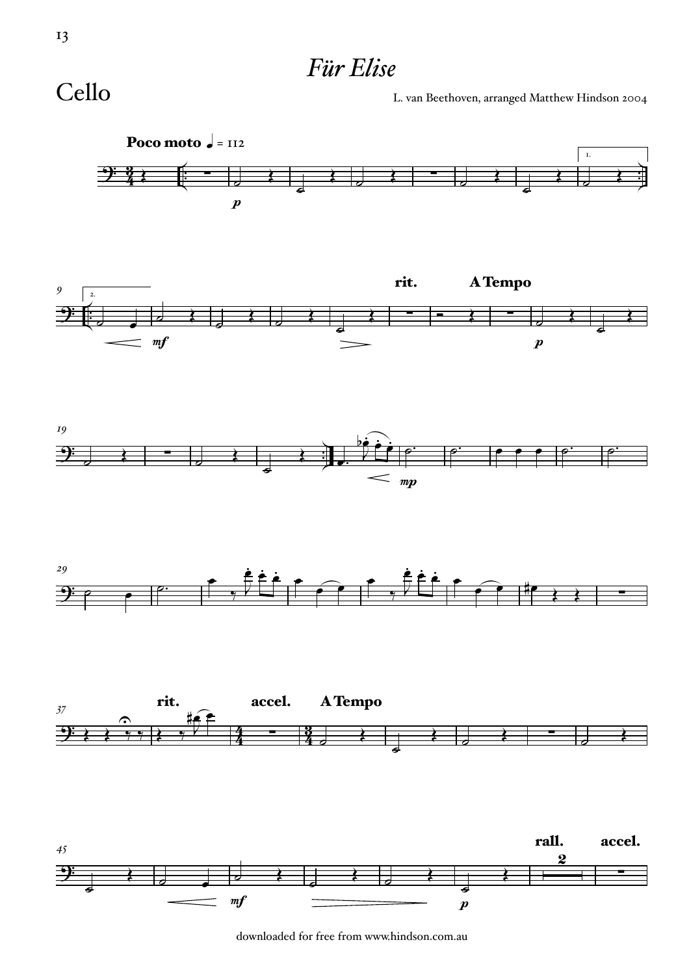### *Für Elise*

Cello L. van Beethoven, arranged Matthew Hindson 2004

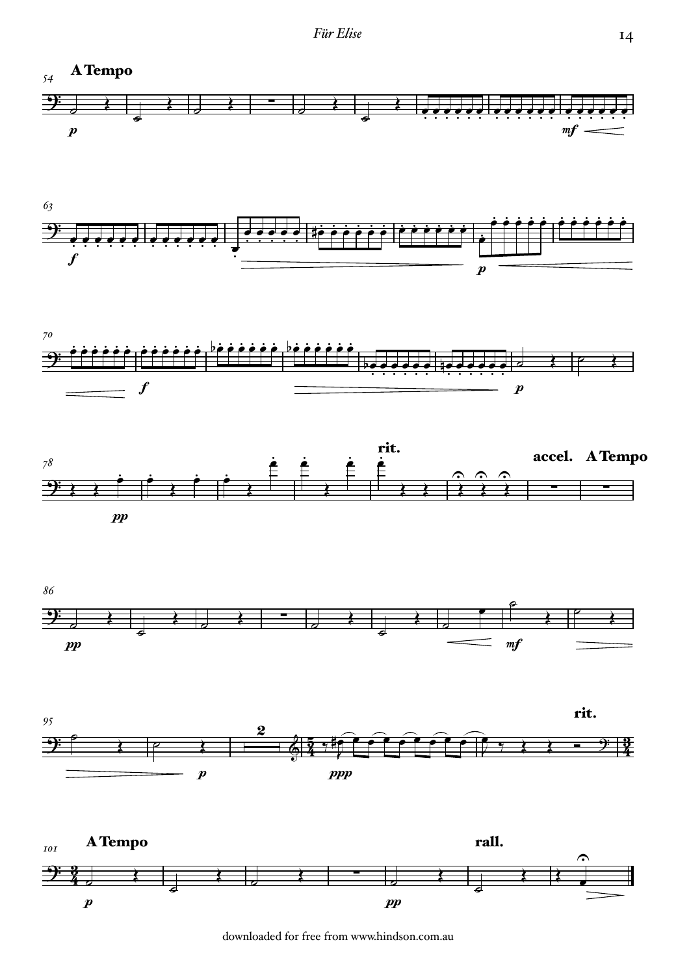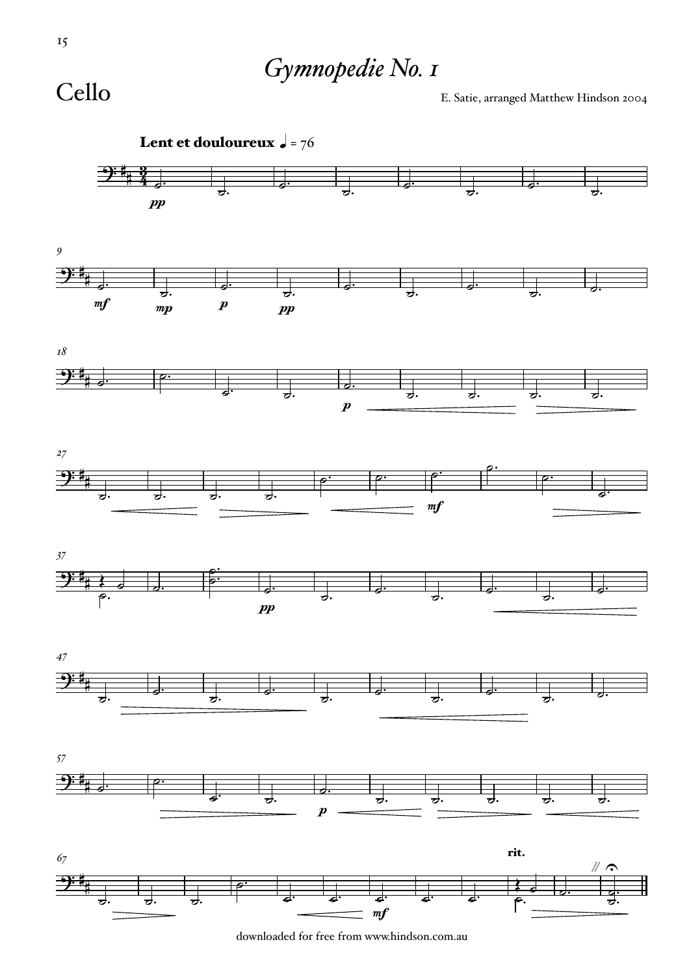Cello E. Satie, arranged Matthew Hindson 2004



downloaded for free from www.hindson.com.au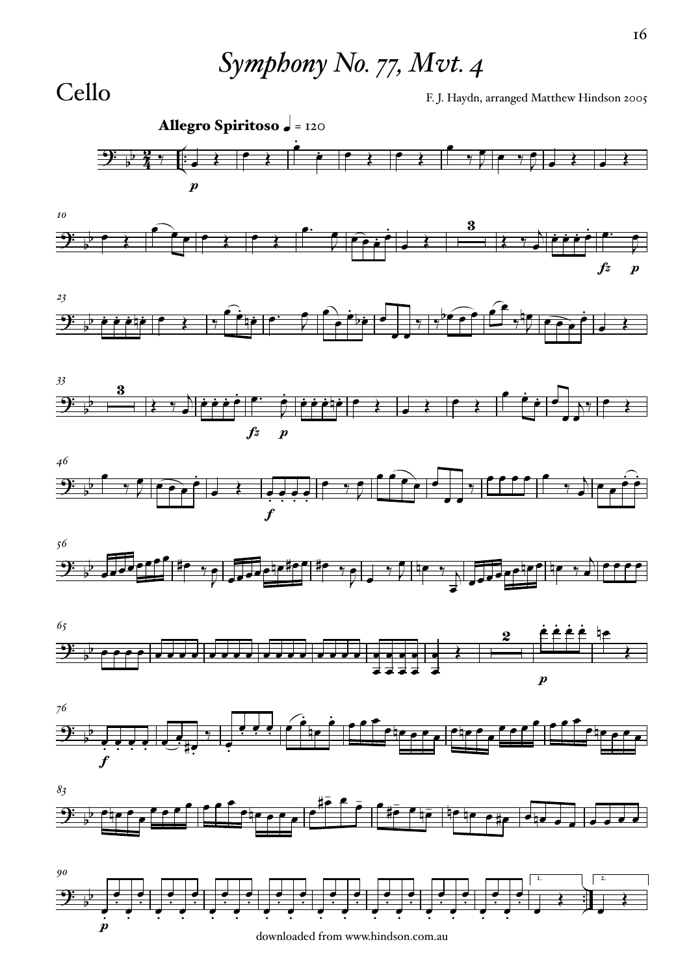## *Symphony No. 77, Mvt. 4*

Cello F. J. Haydn, arranged Matthew Hindson 2005



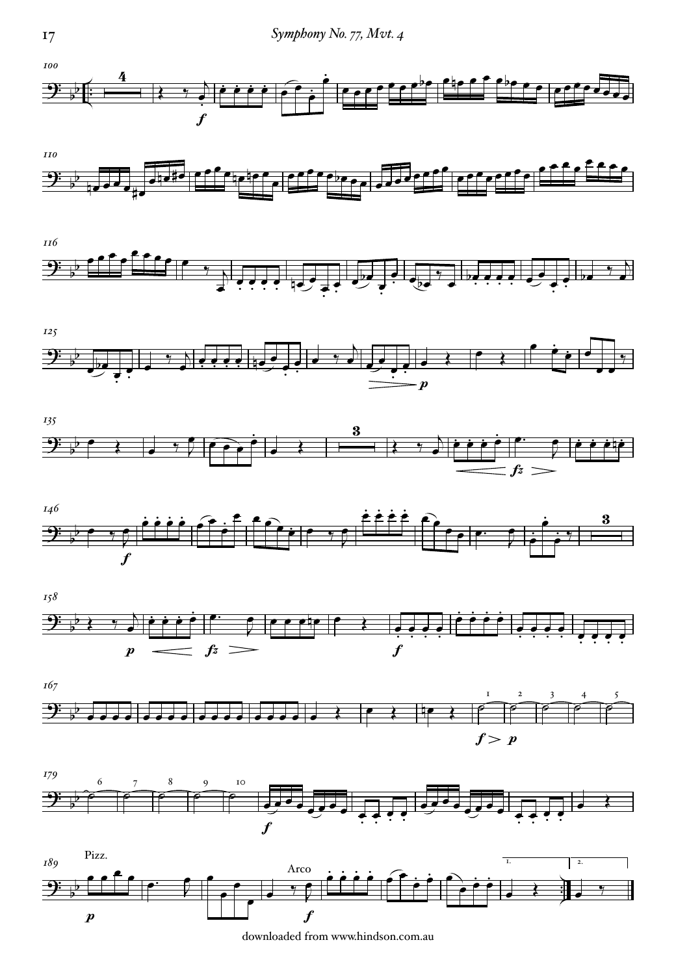



















downloaded from www.hindson.com.au